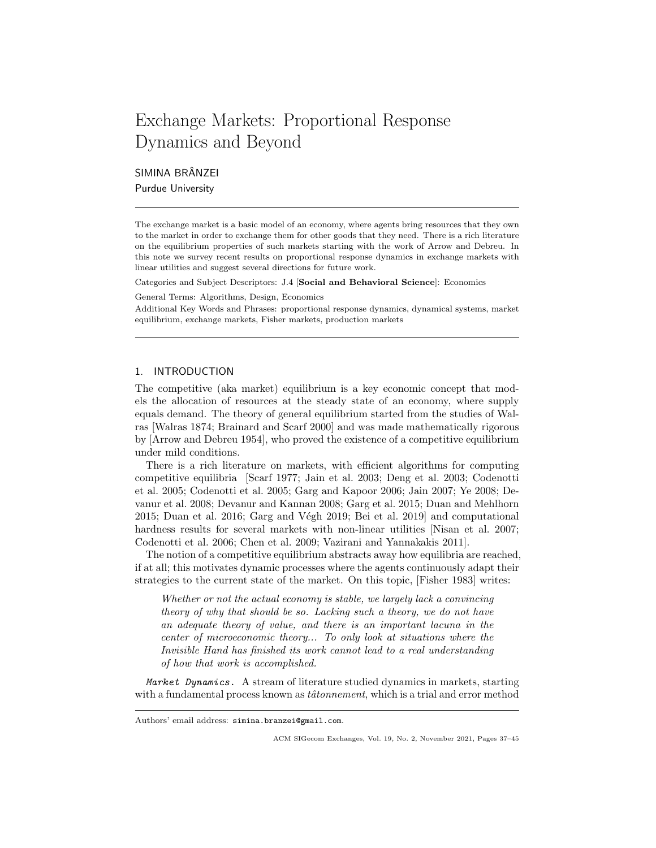# Exchange Markets: Proportional Response Dynamics and Beyond

SIMINA BRÂNZEI

Purdue University

The exchange market is a basic model of an economy, where agents bring resources that they own to the market in order to exchange them for other goods that they need. There is a rich literature on the equilibrium properties of such markets starting with the work of Arrow and Debreu. In this note we survey recent results on proportional response dynamics in exchange markets with linear utilities and suggest several directions for future work.

Categories and Subject Descriptors: J.4 [Social and Behavioral Science]: Economics

General Terms: Algorithms, Design, Economics

Additional Key Words and Phrases: proportional response dynamics, dynamical systems, market equilibrium, exchange markets, Fisher markets, production markets

# 1. INTRODUCTION

The competitive (aka market) equilibrium is a key economic concept that models the allocation of resources at the steady state of an economy, where supply equals demand. The theory of general equilibrium started from the studies of Walras [Walras 1874; Brainard and Scarf 2000] and was made mathematically rigorous by [Arrow and Debreu 1954], who proved the existence of a competitive equilibrium under mild conditions.

There is a rich literature on markets, with efficient algorithms for computing competitive equilibria [Scarf 1977; Jain et al. 2003; Deng et al. 2003; Codenotti et al. 2005; Codenotti et al. 2005; Garg and Kapoor 2006; Jain 2007; Ye 2008; Devanur et al. 2008; Devanur and Kannan 2008; Garg et al. 2015; Duan and Mehlhorn  $2015$ ; Duan et al.  $2016$ ; Garg and Végh  $2019$ ; Bei et al.  $2019$ ] and computational hardness results for several markets with non-linear utilities [Nisan et al. 2007; Codenotti et al. 2006; Chen et al. 2009; Vazirani and Yannakakis 2011].

The notion of a competitive equilibrium abstracts away how equilibria are reached, if at all; this motivates dynamic processes where the agents continuously adapt their strategies to the current state of the market. On this topic, [Fisher 1983] writes:

Whether or not the actual economy is stable, we largely lack a convincing theory of why that should be so. Lacking such a theory, we do not have an adequate theory of value, and there is an important lacuna in the center of microeconomic theory... To only look at situations where the Invisible Hand has finished its work cannot lead to a real understanding of how that work is accomplished.

Market Dynamics. A stream of literature studied dynamics in markets, starting with a fundamental process known as  $t\hat{a}tonnement$ , which is a trial and error method

Authors' email address: simina.branzei@gmail.com.

ACM SIGecom Exchanges, Vol. 19, No. 2, November 2021, Pages 37–45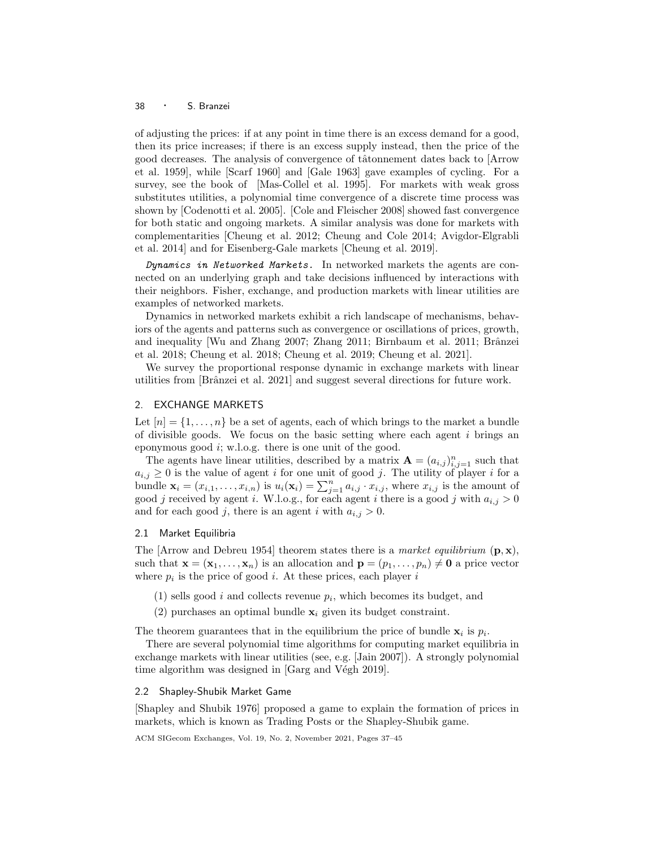#### <sup>38</sup> · S. Branzei

of adjusting the prices: if at any point in time there is an excess demand for a good, then its price increases; if there is an excess supply instead, then the price of the good decreases. The analysis of convergence of tâtonnement dates back to [Arrow et al. 1959], while [Scarf 1960] and [Gale 1963] gave examples of cycling. For a survey, see the book of [Mas-Collel et al. 1995]. For markets with weak gross substitutes utilities, a polynomial time convergence of a discrete time process was shown by [Codenotti et al. 2005]. [Cole and Fleischer 2008] showed fast convergence for both static and ongoing markets. A similar analysis was done for markets with complementarities [Cheung et al. 2012; Cheung and Cole 2014; Avigdor-Elgrabli et al. 2014] and for Eisenberg-Gale markets [Cheung et al. 2019].

Dynamics in Networked Markets. In networked markets the agents are connected on an underlying graph and take decisions influenced by interactions with their neighbors. Fisher, exchange, and production markets with linear utilities are examples of networked markets.

Dynamics in networked markets exhibit a rich landscape of mechanisms, behaviors of the agents and patterns such as convergence or oscillations of prices, growth, and inequality [Wu and Zhang 2007; Zhang 2011; Birnbaum et al. 2011; Brânzei et al. 2018; Cheung et al. 2018; Cheung et al. 2019; Cheung et al. 2021].

We survey the proportional response dynamic in exchange markets with linear utilities from [Brˆanzei et al. 2021] and suggest several directions for future work.

## 2. EXCHANGE MARKETS

Let  $[n] = \{1, \ldots, n\}$  be a set of agents, each of which brings to the market a bundle of divisible goods. We focus on the basic setting where each agent  $i$  brings an eponymous good i; w.l.o.g. there is one unit of the good.

The agents have linear utilities, described by a matrix  $\mathbf{A} = (a_{i,j})_{i,j=1}^n$  such that  $a_{i,j} \geq 0$  is the value of agent i for one unit of good j. The utility of player i for a bundle  $\mathbf{x}_i = (x_{i,1}, \ldots, x_{i,n})$  is  $u_i(\mathbf{x}_i) = \sum_{j=1}^n a_{i,j} \cdot x_{i,j}$ , where  $x_{i,j}$  is the amount of good j received by agent i. W.l.o.g., for each agent i there is a good j with  $a_{i,j} > 0$ and for each good j, there is an agent i with  $a_{i,j} > 0$ .

## 2.1 Market Equilibria

The [Arrow and Debreu 1954] theorem states there is a *market equilibrium*  $(p, x)$ , such that  $\mathbf{x} = (\mathbf{x}_1, \dots, \mathbf{x}_n)$  is an allocation and  $\mathbf{p} = (p_1, \dots, p_n) \neq \mathbf{0}$  a price vector where  $p_i$  is the price of good *i*. At these prices, each player *i* 

- $(1)$  sells good i and collects revenue  $p_i$ , which becomes its budget, and
- (2) purchases an optimal bundle  $x_i$  given its budget constraint.

The theorem guarantees that in the equilibrium the price of bundle  $x_i$  is  $p_i$ .

There are several polynomial time algorithms for computing market equilibria in exchange markets with linear utilities (see, e.g. [Jain 2007]). A strongly polynomial time algorithm was designed in  $[Garg and Végh 2019]$ .

## 2.2 Shapley-Shubik Market Game

[Shapley and Shubik 1976] proposed a game to explain the formation of prices in markets, which is known as Trading Posts or the Shapley-Shubik game.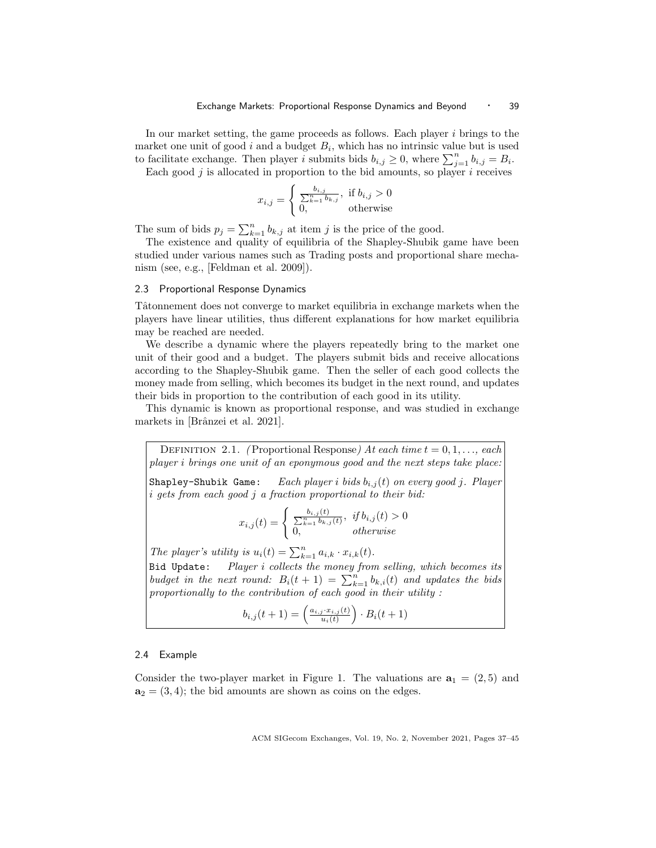In our market setting, the game proceeds as follows. Each player  $i$  brings to the market one unit of good  $i$  and a budget  $B_i$ , which has no intrinsic value but is used to facilitate exchange. Then player i submits bids  $b_{i,j} \geq 0$ , where  $\sum_{j=1}^{n} b_{i,j} = B_i$ .

Each good  $j$  is allocated in proportion to the bid amounts, so player  $i$  receives

$$
x_{i,j} = \begin{cases} \frac{b_{i,j}}{\sum_{k=1}^{n} b_{k,j}}, & \text{if } b_{i,j} > 0\\ 0, & \text{otherwise} \end{cases}
$$

The sum of bids  $p_j = \sum_{k=1}^n b_{k,j}$  at item j is the price of the good.

The existence and quality of equilibria of the Shapley-Shubik game have been studied under various names such as Trading posts and proportional share mechanism (see, e.g., [Feldman et al. 2009]).

## 2.3 Proportional Response Dynamics

Tâtonnement does not converge to market equilibria in exchange markets when the players have linear utilities, thus different explanations for how market equilibria may be reached are needed.

We describe a dynamic where the players repeatedly bring to the market one unit of their good and a budget. The players submit bids and receive allocations according to the Shapley-Shubik game. Then the seller of each good collects the money made from selling, which becomes its budget in the next round, and updates their bids in proportion to the contribution of each good in its utility.

This dynamic is known as proportional response, and was studied in exchange markets in [Brânzei et al. 2021].

DEFINITION 2.1. (Proportional Response) At each time  $t = 0, 1, \ldots$ , each player i brings one unit of an eponymous good and the next steps take place: Shapley-Shubik Game: Each player i bids  $b_{i,j}(t)$  on every good j. Player i gets from each good j a fraction proportional to their bid:

$$
x_{i,j}(t) = \begin{cases} \frac{b_{i,j}(t)}{\sum_{k=1}^{n} b_{k,j}(t)}, & \text{if } b_{i,j}(t) > 0\\ 0, & \text{otherwise} \end{cases}
$$

The player's utility is  $u_i(t) = \sum_{k=1}^n a_{i,k} \cdot x_{i,k}(t)$ .

Bid Update: Player i collects the money from selling, which becomes its budget in the next round:  $B_i(t + 1) = \sum_{k=1}^{n} b_{k,i}(t)$  and updates the bids proportionally to the contribution of each good in their utility :

$$
b_{i,j}(t+1) = \left(\frac{a_{i,j} \cdot x_{i,j}(t)}{u_i(t)}\right) \cdot B_i(t+1)
$$

## 2.4 Example

Consider the two-player market in Figure 1. The valuations are  $a_1 = (2, 5)$  and  $a_2 = (3, 4)$ ; the bid amounts are shown as coins on the edges.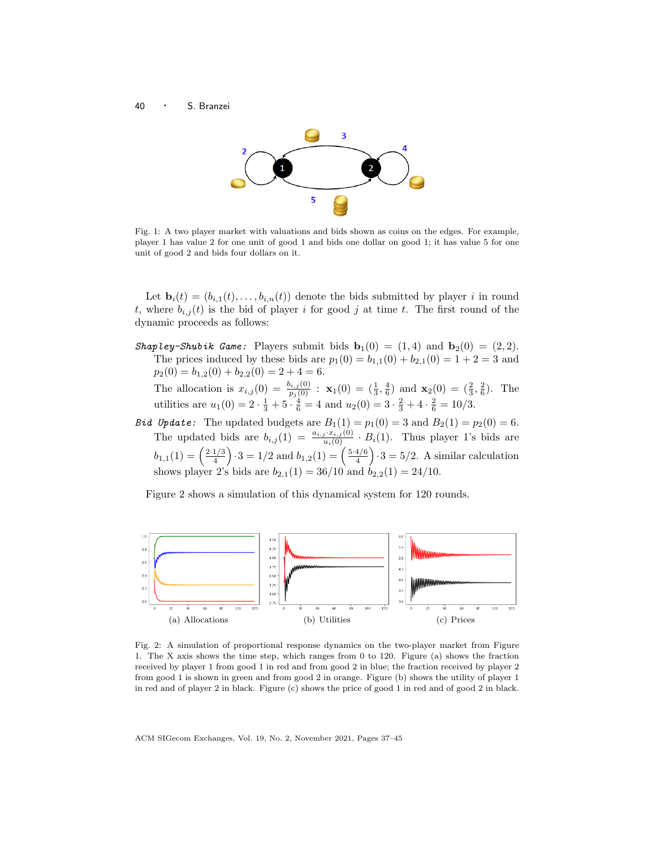



Fig. 1: A two player market with valuations and bids shown as coins on the edges. For example, player 1 has value 2 for one unit of good 1 and bids one dollar on good 1; it has value 5 for one unit of good 2 and bids four dollars on it.

Let  $\mathbf{b}_i(t) = (b_{i,1}(t), \ldots, b_{i,n}(t))$  denote the bids submitted by player i in round t, where  $b_{i,j}(t)$  is the bid of player i for good j at time t. The first round of the dynamic proceeds as follows:

Shapley-Shubik Game: Players submit bids  $\mathbf{b}_1(0) = (1, 4)$  and  $\mathbf{b}_2(0) = (2, 2)$ . The prices induced by these bids are  $p_1(0) = b_{1,1}(0) + b_{2,1}(0) = 1 + 2 = 3$  and  $p_2(0) = b_{1,2}(0) + b_{2,2}(0) = 2 + 4 = 6.$ 

The allocation is  $x_{i,j}(0) = \frac{b_{i,j}(0)}{p_j(0)} : \mathbf{x}_1(0) = \left(\frac{1}{3}, \frac{4}{6}\right)$  and  $\mathbf{x}_2(0) = \left(\frac{2}{3}, \frac{2}{6}\right)$ . The utilities are  $u_1(0) = 2 \cdot \frac{1}{3} + 5 \cdot \frac{4}{6} = 4$  and  $u_2(0) = 3 \cdot \frac{2}{3} + 4 \cdot \frac{2}{6} = 10/3$ .

**Bid Update:** The updated budgets are  $B_1(1) = p_1(0) = 3$  and  $B_2(1) = p_2(0) = 6$ . The updated bids are  $b_{i,j}(1) = \frac{a_{i,j} \cdot x_{i,j}(0)}{u_i(0)} \cdot B_i(1)$ . Thus player 1's bids are  $b_{1,1}(1) = \left(\frac{2\cdot1/3}{4}\right)$  $\left(\frac{1/3}{4}\right) \cdot 3 = 1/2$  and  $b_{1,2}(1) = \left(\frac{5 \cdot 4/6}{4}\right)$  $\left(\frac{4/6}{4}\right) \cdot 3 = 5/2$ . A similar calculation shows player 2's bids are  $b_{2,1}(1) = 36/10$  and  $b_{2,2}(1) = 24/10$ .

Figure 2 shows a simulation of this dynamical system for 120 rounds.



Fig. 2: A simulation of proportional response dynamics on the two-player market from Figure 1. The X axis shows the time step, which ranges from 0 to 120. Figure (a) shows the fraction received by player 1 from good 1 in red and from good 2 in blue; the fraction received by player 2 from good 1 is shown in green and from good 2 in orange. Figure (b) shows the utility of player 1 in red and of player 2 in black. Figure (c) shows the price of good 1 in red and of good 2 in black.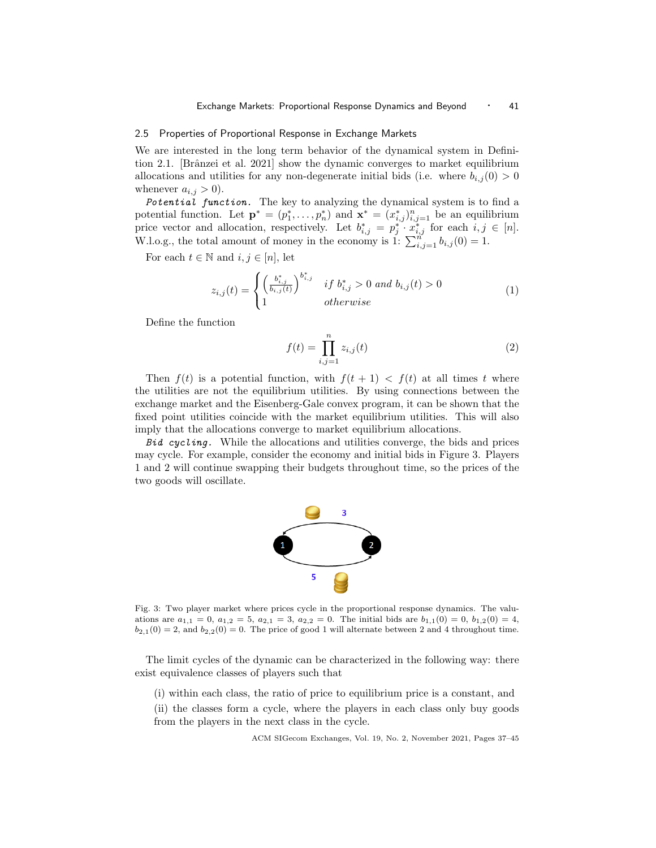# 2.5 Properties of Proportional Response in Exchange Markets

We are interested in the long term behavior of the dynamical system in Definition 2.1. [Brânzei et al. 2021] show the dynamic converges to market equilibrium allocations and utilities for any non-degenerate initial bids (i.e. where  $b_{i,j}(0) > 0$ whenever  $a_{i,j} > 0$ ).

Potential function. The key to analyzing the dynamical system is to find a potential function. Let  $\mathbf{p}^* = (p_1^*, \ldots, p_n^*)$  and  $\mathbf{x}^* = (x_{i,j}^*)_{i,j=1}^n$  be an equilibrium price vector and allocation, respectively. Let  $b_{i,j}^* = p_j^* \cdot x_{i,j}^*$  for each  $i, j \in [n]$ . W.l.o.g., the total amount of money in the economy is 1:  $\sum_{i,j=1}^{n} b_{i,j}(0) = 1$ .

For each  $t \in \mathbb{N}$  and  $i, j \in [n]$ , let

$$
z_{i,j}(t) = \begin{cases} \left(\frac{b_{i,j}^*}{b_{i,j}(t)}\right)^{b_{i,j}^*} & \text{if } b_{i,j}^* > 0 \text{ and } b_{i,j}(t) > 0\\ 1 & \text{otherwise} \end{cases}
$$
(1)

Define the function

$$
f(t) = \prod_{i,j=1}^{n} z_{i,j}(t)
$$
 (2)

Then  $f(t)$  is a potential function, with  $f(t + 1) < f(t)$  at all times t where the utilities are not the equilibrium utilities. By using connections between the exchange market and the Eisenberg-Gale convex program, it can be shown that the fixed point utilities coincide with the market equilibrium utilities. This will also imply that the allocations converge to market equilibrium allocations.

Bid cycling. While the allocations and utilities converge, the bids and prices may cycle. For example, consider the economy and initial bids in Figure 3. Players 1 and 2 will continue swapping their budgets throughout time, so the prices of the two goods will oscillate.



Fig. 3: Two player market where prices cycle in the proportional response dynamics. The valuations are  $a_{1,1} = 0$ ,  $a_{1,2} = 5$ ,  $a_{2,1} = 3$ ,  $a_{2,2} = 0$ . The initial bids are  $b_{1,1}(0) = 0$ ,  $b_{1,2}(0) = 4$ ,  $b_{2,1}(0) = 2$ , and  $b_{2,2}(0) = 0$ . The price of good 1 will alternate between 2 and 4 throughout time.

The limit cycles of the dynamic can be characterized in the following way: there exist equivalence classes of players such that

(i) within each class, the ratio of price to equilibrium price is a constant, and (ii) the classes form a cycle, where the players in each class only buy goods from the players in the next class in the cycle.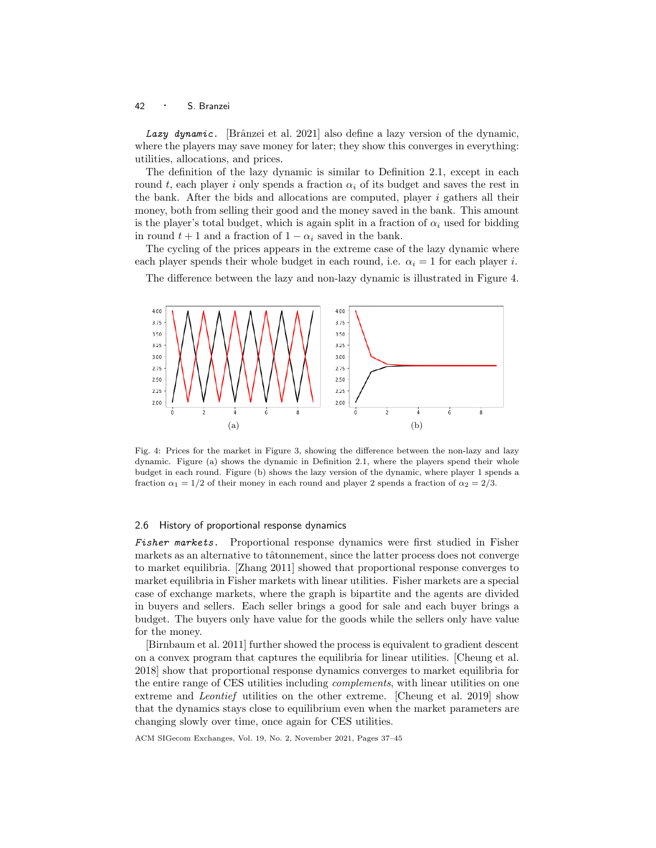## <sup>42</sup> · S. Branzei

Lazy dynamic. [Brânzei et al. 2021] also define a lazy version of the dynamic, where the players may save money for later; they show this converges in everything: utilities, allocations, and prices.

The definition of the lazy dynamic is similar to Definition 2.1, except in each round t, each player i only spends a fraction  $\alpha_i$  of its budget and saves the rest in the bank. After the bids and allocations are computed, player  $i$  gathers all their money, both from selling their good and the money saved in the bank. This amount is the player's total budget, which is again split in a fraction of  $\alpha_i$  used for bidding in round  $t + 1$  and a fraction of  $1 - \alpha_i$  saved in the bank.

The cycling of the prices appears in the extreme case of the lazy dynamic where each player spends their whole budget in each round, i.e.  $\alpha_i = 1$  for each player i.

The difference between the lazy and non-lazy dynamic is illustrated in Figure 4.



Fig. 4: Prices for the market in Figure 3, showing the difference between the non-lazy and lazy dynamic. Figure (a) shows the dynamic in Definition 2.1, where the players spend their whole budget in each round. Figure (b) shows the lazy version of the dynamic, where player 1 spends a fraction  $\alpha_1 = 1/2$  of their money in each round and player 2 spends a fraction of  $\alpha_2 = 2/3$ .

#### 2.6 History of proportional response dynamics

Fisher markets. Proportional response dynamics were first studied in Fisher markets as an alternative to tâtonnement, since the latter process does not converge to market equilibria. [Zhang 2011] showed that proportional response converges to market equilibria in Fisher markets with linear utilities. Fisher markets are a special case of exchange markets, where the graph is bipartite and the agents are divided in buyers and sellers. Each seller brings a good for sale and each buyer brings a budget. The buyers only have value for the goods while the sellers only have value for the money.

[Birnbaum et al. 2011] further showed the process is equivalent to gradient descent on a convex program that captures the equilibria for linear utilities. [Cheung et al. 2018] show that proportional response dynamics converges to market equilibria for the entire range of CES utilities including *complements*, with linear utilities on one extreme and Leontief utilities on the other extreme. [Cheung et al. 2019] show that the dynamics stays close to equilibrium even when the market parameters are changing slowly over time, once again for CES utilities.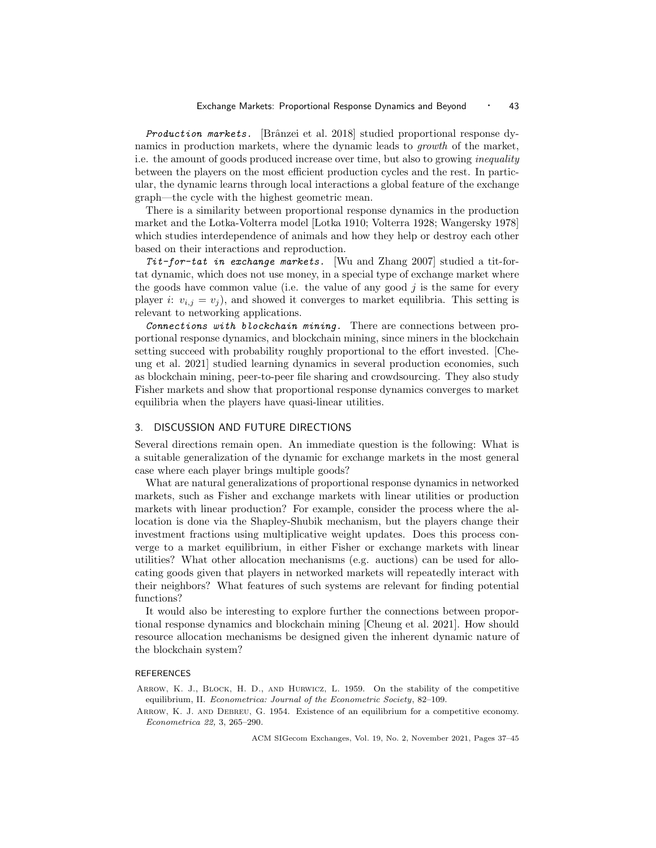Production markets. [Brânzei et al. 2018] studied proportional response dynamics in production markets, where the dynamic leads to growth of the market, i.e. the amount of goods produced increase over time, but also to growing *inequality* between the players on the most efficient production cycles and the rest. In particular, the dynamic learns through local interactions a global feature of the exchange graph—the cycle with the highest geometric mean.

There is a similarity between proportional response dynamics in the production market and the Lotka-Volterra model [Lotka 1910; Volterra 1928; Wangersky 1978] which studies interdependence of animals and how they help or destroy each other based on their interactions and reproduction.

 $Tit$ -for-tat in exchange markets. Wu and Zhang 2007 studied a tit-fortat dynamic, which does not use money, in a special type of exchange market where the goods have common value (i.e. the value of any good  $j$  is the same for every player *i*:  $v_{i,j} = v_j$ , and showed it converges to market equilibria. This setting is relevant to networking applications.

Connections with blockchain mining. There are connections between proportional response dynamics, and blockchain mining, since miners in the blockchain setting succeed with probability roughly proportional to the effort invested. [Cheung et al. 2021] studied learning dynamics in several production economies, such as blockchain mining, peer-to-peer file sharing and crowdsourcing. They also study Fisher markets and show that proportional response dynamics converges to market equilibria when the players have quasi-linear utilities.

# 3. DISCUSSION AND FUTURE DIRECTIONS

Several directions remain open. An immediate question is the following: What is a suitable generalization of the dynamic for exchange markets in the most general case where each player brings multiple goods?

What are natural generalizations of proportional response dynamics in networked markets, such as Fisher and exchange markets with linear utilities or production markets with linear production? For example, consider the process where the allocation is done via the Shapley-Shubik mechanism, but the players change their investment fractions using multiplicative weight updates. Does this process converge to a market equilibrium, in either Fisher or exchange markets with linear utilities? What other allocation mechanisms (e.g. auctions) can be used for allocating goods given that players in networked markets will repeatedly interact with their neighbors? What features of such systems are relevant for finding potential functions?

It would also be interesting to explore further the connections between proportional response dynamics and blockchain mining [Cheung et al. 2021]. How should resource allocation mechanisms be designed given the inherent dynamic nature of the blockchain system?

#### REFERENCES

Arrow, K. J., Block, H. D., and Hurwicz, L. 1959. On the stability of the competitive equilibrium, II. Econometrica: Journal of the Econometric Society, 82–109.

Arrow, K. J. and Debreu, G. 1954. Existence of an equilibrium for a competitive economy. Econometrica 22, 3, 265–290.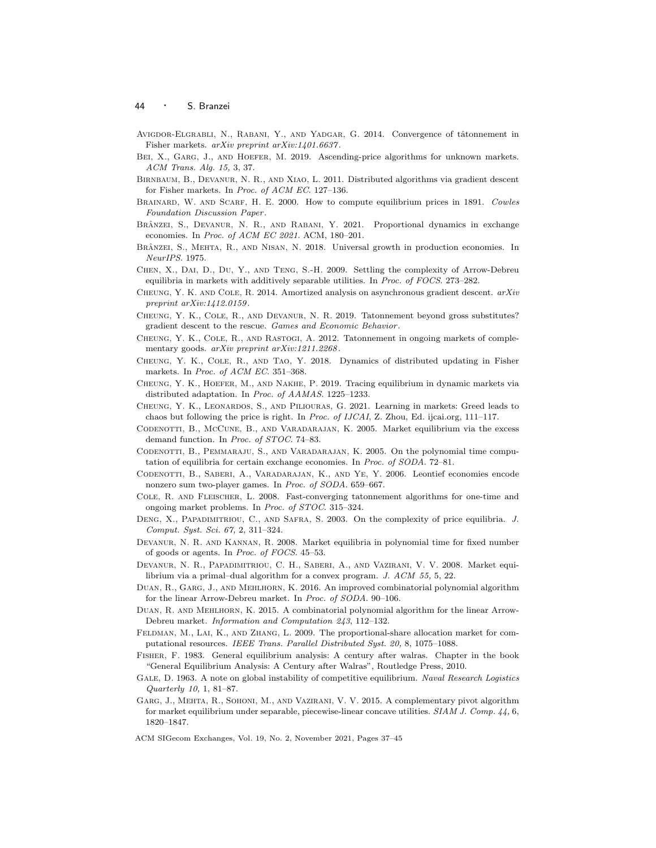#### <sup>44</sup> · S. Branzei

- AVIGDOR-ELGRABLI, N., RABANI, Y., AND YADGAR, G. 2014. Convergence of tâtonnement in Fisher markets. arXiv preprint arXiv:1401.6637 .
- BEI, X., GARG, J., AND HOEFER, M. 2019. Ascending-price algorithms for unknown markets. ACM Trans. Alg. 15, 3, 37.
- Birnbaum, B., Devanur, N. R., and Xiao, L. 2011. Distributed algorithms via gradient descent for Fisher markets. In Proc. of ACM EC. 127–136.
- BRAINARD, W. AND SCARF, H. E. 2000. How to compute equilibrium prices in 1891. Cowles Foundation Discussion Paper .
- BRÂNZEI, S., DEVANUR, N. R., AND RABANI, Y. 2021. Proportional dynamics in exchange economies. In  $\operatorname{\it Proc.}$  of  $\operatorname{\it ACM}$   $\operatorname{\it EC}$   $\operatorname{\it 2021}.$  ACM, 180–201.
- BRÂNZEI, S., MEHTA, R., AND NISAN, N. 2018. Universal growth in production economies. In NeurIPS. 1975.
- Chen, X., Dai, D., Du, Y., and Teng, S.-H. 2009. Settling the complexity of Arrow-Debreu equilibria in markets with additively separable utilities. In Proc. of FOCS. 273–282.
- CHEUNG, Y. K. AND COLE, R. 2014. Amortized analysis on asynchronous gradient descent.  $arXiv$ preprint arXiv:1412.0159.
- Cheung, Y. K., Cole, R., and Devanur, N. R. 2019. Tatonnement beyond gross substitutes? gradient descent to the rescue. Games and Economic Behavior .
- Cheung, Y. K., Cole, R., and Rastogi, A. 2012. Tatonnement in ongoing markets of complementary goods. arXiv preprint arXiv:1211.2268.
- Cheung, Y. K., Cole, R., and Tao, Y. 2018. Dynamics of distributed updating in Fisher markets. In *Proc. of ACM EC.* 351–368.
- Cheung, Y. K., Hoefer, M., and Nakhe, P. 2019. Tracing equilibrium in dynamic markets via distributed adaptation. In Proc. of AAMAS. 1225–1233.
- Cheung, Y. K., Leonardos, S., and Piliouras, G. 2021. Learning in markets: Greed leads to chaos but following the price is right. In Proc. of IJCAI, Z. Zhou, Ed. ijcai.org, 111–117.
- Codenotti, B., McCune, B., and Varadarajan, K. 2005. Market equilibrium via the excess demand function. In Proc. of STOC. 74–83.
- Codenotti, B., Pemmaraju, S., and Varadarajan, K. 2005. On the polynomial time computation of equilibria for certain exchange economies. In Proc. of SODA. 72–81.
- Codenotti, B., Saberi, A., Varadarajan, K., and Ye, Y. 2006. Leontief economies encode nonzero sum two-player games. In Proc. of SODA. 659–667.
- Cole, R. and Fleischer, L. 2008. Fast-converging tatonnement algorithms for one-time and ongoing market problems. In Proc. of STOC. 315–324.
- DENG, X., PAPADIMITRIOU, C., AND SAFRA, S. 2003. On the complexity of price equilibria. J. Comput. Syst. Sci. 67, 2, 311–324.
- Devanur, N. R. and Kannan, R. 2008. Market equilibria in polynomial time for fixed number of goods or agents. In Proc. of FOCS. 45–53.
- Devanur, N. R., Papadimitriou, C. H., Saberi, A., and Vazirani, V. V. 2008. Market equilibrium via a primal–dual algorithm for a convex program. J. ACM 55, 5, 22.
- Duan, R., Garg, J., and Mehlhorn, K. 2016. An improved combinatorial polynomial algorithm for the linear Arrow-Debreu market. In Proc. of SODA. 90–106.
- Duan, R. and Mehlhorn, K. 2015. A combinatorial polynomial algorithm for the linear Arrow-Debreu market. Information and Computation 243, 112–132.
- Feldman, M., Lai, K., and Zhang, L. 2009. The proportional-share allocation market for computational resources. IEEE Trans. Parallel Distributed Syst. 20, 8, 1075–1088.
- Fisher, F. 1983. General equilibrium analysis: A century after walras. Chapter in the book "General Equilibrium Analysis: A Century after Walras", Routledge Press, 2010.
- GALE, D. 1963. A note on global instability of competitive equilibrium. Naval Research Logistics Quarterly 10, 1, 81–87.
- Garg, J., Mehta, R., Sohoni, M., and Vazirani, V. V. 2015. A complementary pivot algorithm for market equilibrium under separable, piecewise-linear concave utilities. SIAM J. Comp. 44, 6, 1820–1847.